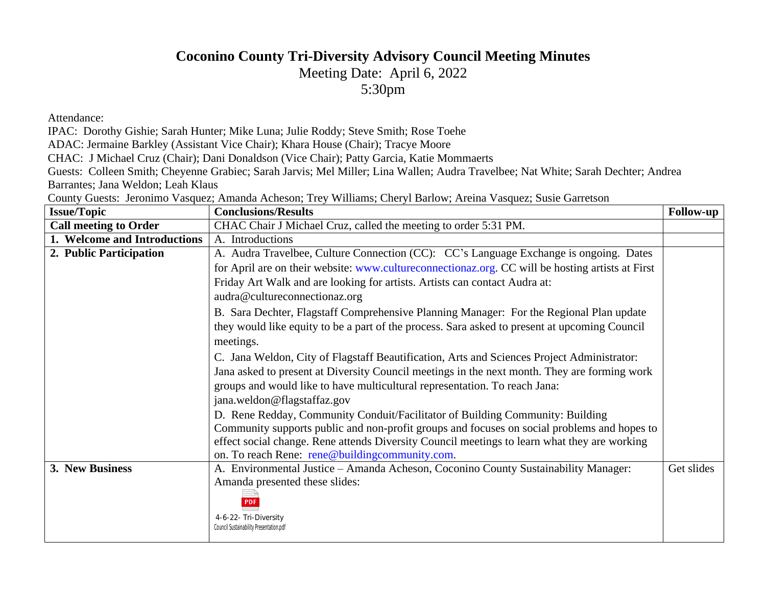## **Coconino County Tri-Diversity Advisory Council Meeting Minutes**

Meeting Date: April 6, 2022

[5:30pm](http://www.cultureconnectionaz.org)

Attendance:

IPAC: Dorothy Gishie; Sarah Hunter; Mike Luna; Julie Roddy; Steve Smith; Rose Toehe

ADAC: Jermaine Barkley (Assistant Vice Chair); Khara House (Chair); Tracye Moore

CHAC: J Michael Cruz (Chair); Dani Donaldson (Vice Chair); Patty Garcia, Katie Mommaerts

Guests: Colleen Smith; Cheyenne Grabiec; Sarah Jarvis; Mel Miller; Lina Wallen; Audra Travelbee; Nat White; Sar Barrantes; Jana Weldon; Leah Klaus

County Guests: Jeronimo Vasquez; Amanda Acheson; Trey Williams; Cheryl Barlow; Areina Vasquez; Susie Garret

| <b>Issue/Topic</b>           | <b>Conclusions/Results</b>                                                          |
|------------------------------|-------------------------------------------------------------------------------------|
| <b>Call meeting to Order</b> | CHAC Chair J Michael Cruz, called the meeting to order 5:31 PM.                     |
| 1. Welcome and Introductions | A. Introductions                                                                    |
| 2. Public Participation      | A. Audra Travelbee, Culture Connection (CC): CC's Language Exchange is on           |
|                              | for April are on their website: www.cultureconnectionaz.org. CC will be hosting     |
|                              | Friday Art Walk and are looking for artists. Artists can contact Audra at:          |
|                              | audra@cultureconnectionaz.org                                                       |
|                              | B. Sara Dechter, Flagstaff Comprehensive Planning Manager: For the Regional         |
|                              | they would like equity to be a part of the process. Sara asked to present at upcomi |
|                              | meetings.                                                                           |
|                              | C. Jana Weldon, City of Flagstaff Beautification, Arts and Sciences Project Adm     |
|                              | Jana asked to present at Diversity Council meetings in the next month. They are f   |
|                              | groups and would like to have multicultural representation. To reach Jana:          |
|                              | jana.weldon@flagstaffaz.gov                                                         |
|                              | D. Rene Redday, Community Conduit/Facilitator of Building Community: Build          |
|                              | Community supports public and non-profit groups and focuses on social problem       |
|                              | effect social change. Rene attends Diversity Council meetings to learn what they    |
|                              | on. To reach Rene: rene@buildingcommunity.com.                                      |
| 3. New Business              | A. Environmental Justice - Amanda Acheson, Coconino County Sustainability N         |
|                              | Amanda presented these slides:                                                      |
|                              | <b>PDF</b>                                                                          |
|                              | 4-6-22- Tri-Diversity                                                               |
|                              | Council Sustainability Presentation.pdf                                             |
|                              |                                                                                     |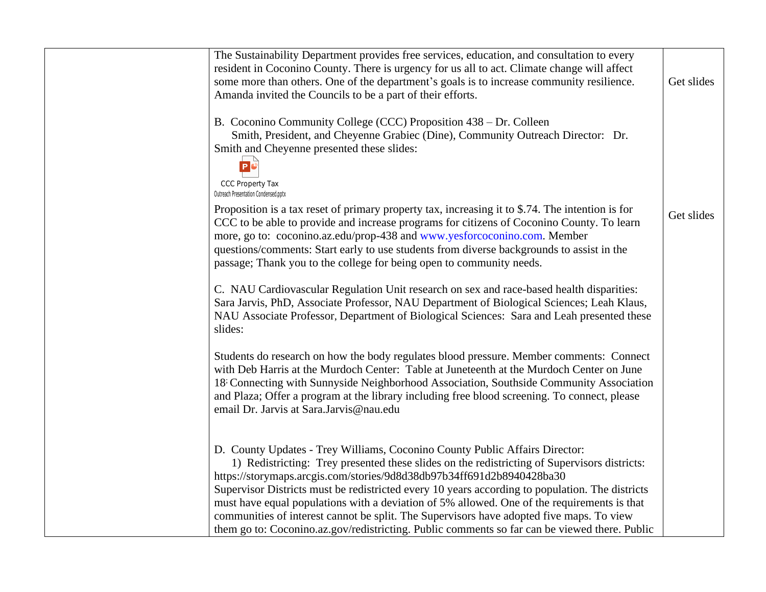The Sustainability Department provides fre[e services, education, and co](http://www.yesforcoconino.com)nsultation resident in Coconino County. There is urgency for us all to act. Climate change w some more than others. One of the department's goals is to increase community resilience. Amanda invited the Councils to be a part of their efforts.

B. Coconino Community College (CCC) Proposition 438 – Dr. Colleen

Smith, President, and Cheyenne Grabiec (Dine), Community Outreach Direct Smith and Cheyenne presented these slides:



CCC Property Tax Outreach Presentation Condensed.pptx

Proposition is a tax reset of primary property tax, increasing it to \$.74. The intent CCC to be able to provide and increase programs for citizens of Coconino County more, go to: coconino.az.edu/prop-438 and www.yesforcoconino.com. Member questions/comments: Start early to use students from diverse backgrounds to assi passage; Thank you to the college for being open to community needs.

C. NAU Cardiovascular Regulation Unit research on sex and race-based health d Sara Jarvis, PhD, Associate Professor, NAU Department of Biological Sciences; NAU Associate Professor, Department of Biological Sciences: Sara and Leah presented these nearslides:

Students do research on how the body regulates blood pressure. Member comments: Connect states: Connect states: Connect states: Connect states: Connect states: Connect states: Connect states: Connect states: Connect states with Deb Harris at the Murdoch Center: Table at Juneteenth at the Murdoch Cen 18: Connecting with Sunnyside Neighborhood Association, Southside Community and Plaza; Offer a program at the library including free blood screening. To conn email Dr. Jarvis at Sara.Jarvis@nau.edu

D. County Updates - Trey Williams, Coconino County Public Affairs Director:

1) Redistricting: Trey presented these slides on the redistricting of Supervisors https://storymaps.arcgis.com/stories/9d8d38db97b34ff691d2b8940428ba30 Supervisor Districts must be redistricted every 10 years according to population. must have equal populations with a deviation of 5% allowed. One of the requirem communities of interest cannot be split. The Supervisors have adopted five maps. them go to: Coconino.az.gov/redistricting. Public comments so far can be viewed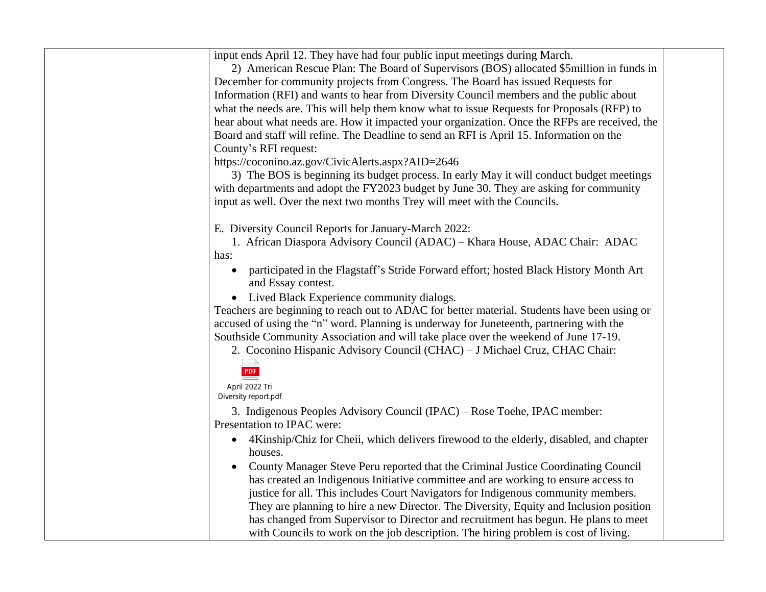| input ends April 12. They have had four public input meetings during March.                                              |  |
|--------------------------------------------------------------------------------------------------------------------------|--|
| 2) American Rescue Plan: The Board of Supervisors (BOS) allocated \$5 million in funds in                                |  |
| December for community projects from Congress. The Board has issued Requests for                                         |  |
| Information (RFI) and wants to hear from Diversity Council members and the public about                                  |  |
| what the needs are. This will help them know what to issue Requests for Proposals (RFP) to                               |  |
| hear about what needs are. How it impacted your organization. Once the RFPs are received, the                            |  |
| Board and staff will refine. The Deadline to send an RFI is April 15. Information on the                                 |  |
| County's RFI request:                                                                                                    |  |
| https://coconino.az.gov/CivicAlerts.aspx?AID=2646                                                                        |  |
| 3) The BOS is beginning its budget process. In early May it will conduct budget meetings                                 |  |
| with departments and adopt the FY2023 budget by June 30. They are asking for community                                   |  |
| input as well. Over the next two months Trey will meet with the Councils.                                                |  |
| E. Diversity Council Reports for January-March 2022:                                                                     |  |
| 1. African Diaspora Advisory Council (ADAC) – Khara House, ADAC Chair: ADAC                                              |  |
| has:                                                                                                                     |  |
| participated in the Flagstaff's Stride Forward effort; hosted Black History Month Art<br>$\bullet$<br>and Essay contest. |  |
| Lived Black Experience community dialogs.<br>$\bullet$                                                                   |  |
| Teachers are beginning to reach out to ADAC for better material. Students have been using or                             |  |
| accused of using the "n" word. Planning is underway for Juneteenth, partnering with the                                  |  |
| Southside Community Association and will take place over the weekend of June 17-19.                                      |  |
| 2. Coconino Hispanic Advisory Council (CHAC) - J Michael Cruz, CHAC Chair:                                               |  |
|                                                                                                                          |  |
| PDF                                                                                                                      |  |
| April 2022 Tri<br>Diversity report.pdf                                                                                   |  |
| 3. Indigenous Peoples Advisory Council (IPAC) – Rose Toehe, IPAC member:                                                 |  |
| Presentation to IPAC were:                                                                                               |  |
| 4Kinship/Chiz for Cheii, which delivers firewood to the elderly, disabled, and chapter<br>$\bullet$                      |  |
| houses.                                                                                                                  |  |
| County Manager Steve Peru reported that the Criminal Justice Coordinating Council                                        |  |
| has created an Indigenous Initiative committee and are working to ensure access to                                       |  |
| justice for all. This includes Court Navigators for Indigenous community members.                                        |  |
| They are planning to hire a new Director. The Diversity, Equity and Inclusion position                                   |  |
| has changed from Supervisor to Director and recruitment has begun. He plans to meet                                      |  |
| with Councils to work on the job description. The hiring problem is cost of living.                                      |  |